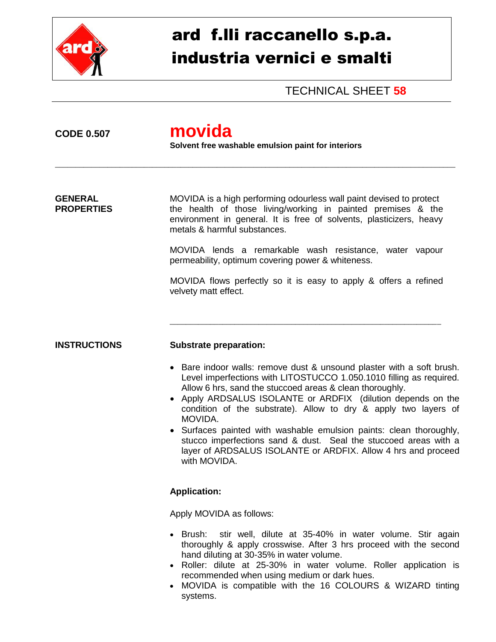

# ard f.lli raccanello s.p.a. industria vernici e smalti

TECHNICAL SHEET **58**

## **CODE 0.507 movida**

**Solvent free washable emulsion paint for interiors**

\_\_\_\_\_\_\_\_\_\_\_\_\_\_\_\_\_\_\_\_\_\_\_\_\_\_\_\_\_\_\_\_\_\_\_\_\_\_\_\_\_\_\_\_\_\_\_\_\_\_\_\_\_\_\_\_\_\_\_\_\_\_\_\_\_\_\_\_\_\_\_\_\_\_\_\_\_\_\_\_\_\_\_\_\_\_\_\_\_\_\_\_\_\_\_\_\_\_\_

**GENERAL** MOVIDA is a high performing odourless wall paint devised to protect **PROPERTIES** the health of those living/working in painted premises & the environment in general. It is free of solvents, plasticizers, heavy metals & harmful substances.

> MOVIDA lends a remarkable wash resistance, water vapour permeability, optimum covering power & whiteness.

> MOVIDA flows perfectly so it is easy to apply & offers a refined velvety matt effect.

\_\_\_\_\_\_\_\_\_\_\_\_\_\_\_\_\_\_\_\_\_\_\_\_\_\_\_\_\_\_\_\_\_\_\_\_\_\_\_\_\_\_\_\_\_\_\_\_\_\_\_\_\_\_\_\_\_\_\_\_\_\_\_\_\_\_\_

#### **INSTRUCTIONS Substrate preparation:**

- Bare indoor walls: remove dust & unsound plaster with a soft brush. Level imperfections with LITOSTUCCO 1.050.1010 filling as required. Allow 6 hrs, sand the stuccoed areas & clean thoroughly.
- Apply ARDSALUS ISOLANTE or ARDFIX (dilution depends on the condition of the substrate). Allow to dry & apply two layers of MOVIDA.
- Surfaces painted with washable emulsion paints: clean thoroughly, stucco imperfections sand & dust. Seal the stuccoed areas with a layer of ARDSALUS ISOLANTE or ARDFIX. Allow 4 hrs and proceed with MOVIDA.

### **Application:**

Apply MOVIDA as follows:

- Brush: stir well, dilute at 35-40% in water volume. Stir again thoroughly & apply crosswise. After 3 hrs proceed with the second hand diluting at 30-35% in water volume.
- Roller: dilute at 25-30% in water volume. Roller application is recommended when using medium or dark hues.
- MOVIDA is compatible with the 16 COLOURS & WIZARD tinting systems.